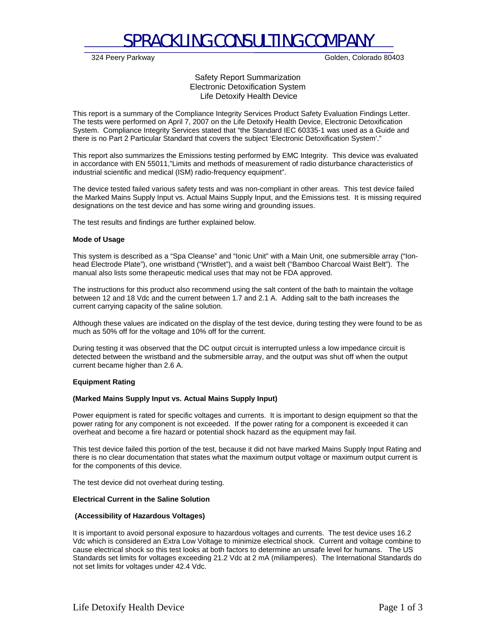## SPRACKLING CONSULTING COMPANY

324 Peery Parkway Golden, Colorado 80403

Safety Report Summarization Electronic Detoxification System Life Detoxify Health Device

This report is a summary of the Compliance Integrity Services Product Safety Evaluation Findings Letter. The tests were performed on April 7, 2007 on the Life Detoxify Health Device, Electronic Detoxification System. Compliance Integrity Services stated that "the Standard IEC 60335-1 was used as a Guide and there is no Part 2 Particular Standard that covers the subject 'Electronic Detoxification System'."

This report also summarizes the Emissions testing performed by EMC Integrity. This device was evaluated in accordance with EN 55011,"Limits and methods of measurement of radio disturbance characteristics of industrial scientific and medical (ISM) radio-frequency equipment".

The device tested failed various safety tests and was non-compliant in other areas. This test device failed the Marked Mains Supply Input vs. Actual Mains Supply Input, and the Emissions test. It is missing required designations on the test device and has some wiring and grounding issues.

The test results and findings are further explained below.

#### **Mode of Usage**

This system is described as a "Spa Cleanse" and "Ionic Unit" with a Main Unit, one submersible array ("Ionhead Electrode Plate"), one wristband ("Wristlet"), and a waist belt ("Bamboo Charcoal Waist Belt"). The manual also lists some therapeutic medical uses that may not be FDA approved.

The instructions for this product also recommend using the salt content of the bath to maintain the voltage between 12 and 18 Vdc and the current between 1.7 and 2.1 A. Adding salt to the bath increases the current carrying capacity of the saline solution.

Although these values are indicated on the display of the test device, during testing they were found to be as much as 50% off for the voltage and 10% off for the current.

During testing it was observed that the DC output circuit is interrupted unless a low impedance circuit is detected between the wristband and the submersible array, and the output was shut off when the output current became higher than 2.6 A.

#### **Equipment Rating**

#### **(Marked Mains Supply Input vs. Actual Mains Supply Input)**

Power equipment is rated for specific voltages and currents. It is important to design equipment so that the power rating for any component is not exceeded. If the power rating for a component is exceeded it can overheat and become a fire hazard or potential shock hazard as the equipment may fail.

This test device failed this portion of the test, because it did not have marked Mains Supply Input Rating and there is no clear documentation that states what the maximum output voltage or maximum output current is for the components of this device.

The test device did not overheat during testing.

## **Electrical Current in the Saline Solution**

#### **(Accessibility of Hazardous Voltages)**

It is important to avoid personal exposure to hazardous voltages and currents. The test device uses 16.2 Vdc which is considered an Extra Low Voltage to minimize electrical shock. Current and voltage combine to cause electrical shock so this test looks at both factors to determine an unsafe level for humans. The US Standards set limits for voltages exceeding 21.2 Vdc at 2 mA (miliamperes). The International Standards do not set limits for voltages under 42.4 Vdc.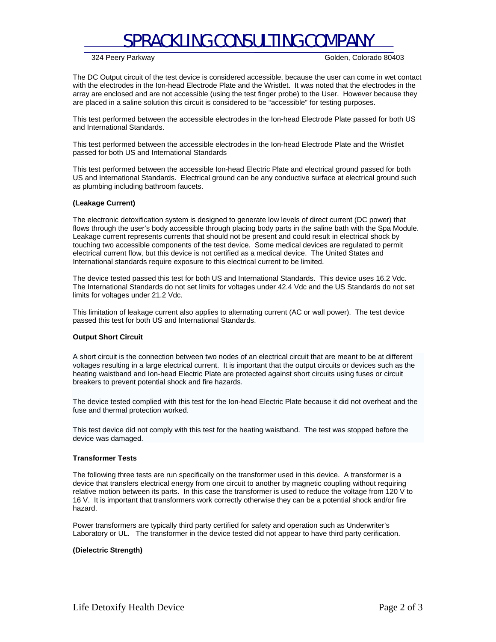# SPRACKLING CONSULTING COMPANY

324 Peery Parkway Golden, Colorado 80403

The DC Output circuit of the test device is considered accessible, because the user can come in wet contact with the electrodes in the Ion-head Electrode Plate and the Wristlet. It was noted that the electrodes in the array are enclosed and are not accessible (using the test finger probe) to the User. However because they are placed in a saline solution this circuit is considered to be "accessible" for testing purposes.

This test performed between the accessible electrodes in the Ion-head Electrode Plate passed for both US and International Standards.

This test performed between the accessible electrodes in the Ion-head Electrode Plate and the Wristlet passed for both US and International Standards

This test performed between the accessible Ion-head Electric Plate and electrical ground passed for both US and International Standards. Electrical ground can be any conductive surface at electrical ground such as plumbing including bathroom faucets.

## **(Leakage Current)**

The electronic detoxification system is designed to generate low levels of direct current (DC power) that flows through the user's body accessible through placing body parts in the saline bath with the Spa Module. Leakage current represents currents that should not be present and could result in electrical shock by touching two accessible components of the test device. Some medical devices are regulated to permit electrical current flow, but this device is not certified as a medical device. The United States and International standards require exposure to this electrical current to be limited.

The device tested passed this test for both US and International Standards. This device uses 16.2 Vdc. The International Standards do not set limits for voltages under 42.4 Vdc and the US Standards do not set limits for voltages under 21.2 Vdc.

This limitation of leakage current also applies to alternating current (AC or wall power). The test device passed this test for both US and International Standards.

#### **Output Short Circuit**

A short circuit is the connection between two nodes of an electrical circuit that are meant to be at different voltages resulting in a large electrical current. It is important that the output circuits or devices such as the heating waistband and Ion-head Electric Plate are protected against short circuits using fuses or circuit breakers to prevent potential shock and fire hazards.

The device tested complied with this test for the Ion-head Electric Plate because it did not overheat and the fuse and thermal protection worked.

This test device did not comply with this test for the heating waistband. The test was stopped before the device was damaged.

#### **Transformer Tests**

The following three tests are run specifically on the transformer used in this device. A transformer is a device that transfers electrical energy from one circuit to another by magnetic coupling without requiring relative motion between its parts. In this case the transformer is used to reduce the voltage from 120 V to 16 V. It is important that transformers work correctly otherwise they can be a potential shock and/or fire hazard.

Power transformers are typically third party certified for safety and operation such as Underwriter's Laboratory or UL. The transformer in the device tested did not appear to have third party cerification.

#### **(Dielectric Strength)**